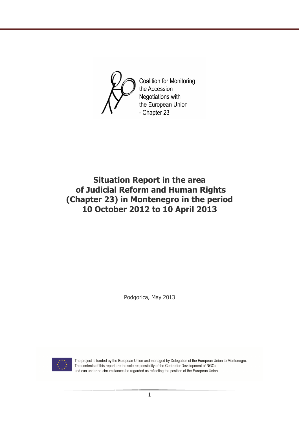

# **Situation Report in the area of Judicial Reform and Human Rights (Chapter 23) in Montenegro in the period 10 October 2012 to 10 April 2013**

Podgorica, May 2013



The project is funded by the European Union and managed by Delegation of the European Union to Montenegro. The contents of this report are the sole responsibility of the Centre for Development of NGOs and can under no circumstances be regarded as reflecting the position of the European Union.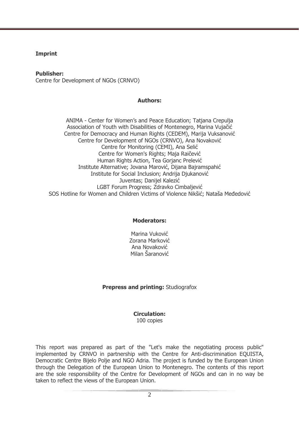#### **Imprint**

**Publisher:** 

Centre for Development of NGOs (CRNVO)

#### **Authors:**

ANIMA - Center for Women's and Peace Education; Tatjana Crepulja Association of Youth with Disabilities of Montenegro, Marina Vujačić Centre for Democracy and Human Rights (CEDEM), Marija Vuksanović Centre for Development of NGOs (CRNVO), Ana Novaković Centre for Monitoring (CEMI), Ana Selić Centre for Women's Rights; Maja Raičević Human Rights Action, Tea Gorjanc Prelević Institute Alternative; Jovana Marović, Dijana Bajramspahić Institute for Social Inclusion; Andrija Djukanović Juventas; Danijel Kalezić LGBT Forum Progress; Zdravko Cimbaljević SOS Hotline for Women and Children Victims of Violence Nikšić; Nataša Međedović

#### **Moderators:**

Marina Vuković Zorana Marković Ana Novaković Milan Šaranović

#### **Prepress and printing:** Studiografox

#### **Circulation:**  100 copies

This report was prepared as part of the "Let's make the negotiating process public" implemented by CRNVO in partnership with the Centre for Anti-discrimination EQUISTA, Democratic Centre Bijelo Polje and NGO Adria. The project is funded by the European Union through the Delegation of the European Union to Montenegro. The contents of this report are the sole responsibility of the Centre for Development of NGOs and can in no way be taken to reflect the views of the European Union.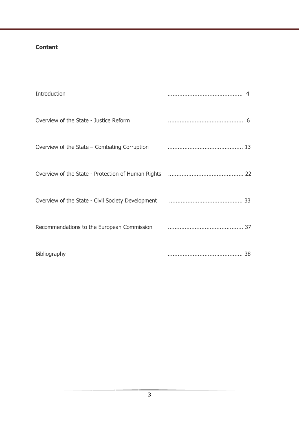## **Content**

| Introduction                                                                                                                                                                                               |  |
|------------------------------------------------------------------------------------------------------------------------------------------------------------------------------------------------------------|--|
| Overview of the State - Justice Reform                                                                                                                                                                     |  |
| Overview of the State - Combating Corruption <b>Community</b> 23                                                                                                                                           |  |
|                                                                                                                                                                                                            |  |
| Overview of the State - Civil Society Development <b>Constructs</b> 23                                                                                                                                     |  |
| Recommendations to the European Commission <b>Commission Commission Commission Commission Commission Commission Commission Commission Commission Commission Commission Commission Commission Commissio</b> |  |
| Bibliography                                                                                                                                                                                               |  |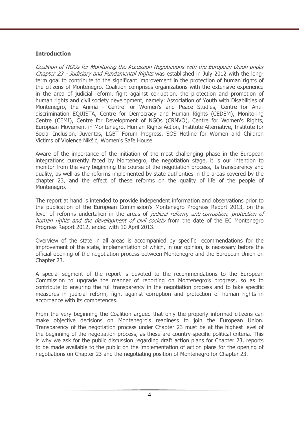### **Introduction**

Coalition of NGOs for Monitoring the Accession Negotiations with the European Union under Chapter 23 - Judiciary and Fundamental Rights was established in July 2012 with the longterm goal to contribute to the significant improvement in the protection of human rights of the citizens of Montenegro. Coalition comprises organizations with the extensive experience in the area of judicial reform, fight against corruption, the protection and promotion of human rights and civil society development, namely: Association of Youth with Disabilities of Montenegro, the Anima - Centre for Women's and Peace Studies, Centre for Antidiscrimination EQUISTA, Centre for Democracy and Human Rights (CEDEM), Monitoring Centre (CEMI), Centre for Development of NGOs (CRNVO), Centre for Women's Rights, European Movement in Montenegro, Human Rights Action, Institute Alternative, Institute for Social Inclusion, Juventas, LGBT Forum Progress, SOS Hotline for Women and Children Victims of Violence Nikšić, Women's Safe House.

Aware of the importance of the initiation of the most challenging phase in the European integrations currently faced by Montenegro, the negotiation stage, it is our intention to monitor from the very beginning the course of the negotiation process, its transparency and quality, as well as the reforms implemented by state authorities in the areas covered by the chapter 23, and the effect of these reforms on the quality of life of the people of Montenegro.

The report at hand is intended to provide independent information and observations prior to the publication of the European Commission's Montenegro Progress Report 2013, on the level of reforms undertaken in the areas of *judicial reform, anti-corruption, protection of* human rights and the development of civil society from the date of the EC Montenegro Progress Report 2012, ended with 10 April 2013.

Overview of the state in all areas is accompanied by specific recommendations for the improvement of the state, implementation of which, in our opinion, is necessary before the official opening of the negotiation process between Montenegro and the European Union on Chapter 23.

A special segment of the report is devoted to the recommendations to the European Commission to upgrade the manner of reporting on Montenegro's progress, so as to contribute to ensuring the full transparency in the negotiation process and to take specific measures in judicial reform, fight against corruption and protection of human rights in accordance with its competences.

From the very beginning the Coalition argued that only the properly informed citizens can make objective decisions on Montenegro's readiness to join the European Union. Transparency of the negotiation process under Chapter 23 must be at the highest level of the beginning of the negotiation process, as these are country-specific political criteria. This is why we ask for the public discussion regarding draft action plans for Chapter 23, reports to be made available to the public on the implementation of action plans for the opening of negotiations on Chapter 23 and the negotiating position of Montenegro for Chapter 23.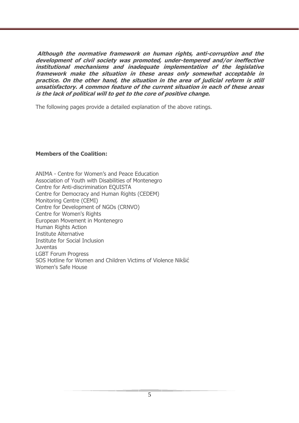**Although the normative framework on human rights, anti-corruption and the development of civil society was promoted, under-tempered and/or ineffective institutional mechanisms and inadequate implementation of the legislative framework make the situation in these areas only somewhat acceptable in practice. On the other hand, the situation in the area of judicial reform is still unsatisfactory. A common feature of the current situation in each of these areas is the lack of political will to get to the core of positive change.** 

The following pages provide a detailed explanation of the above ratings.

### **Members of the Coalition:**

ANIMA - Centre for Women's and Peace Education Association of Youth with Disabilities of Montenegro Centre for Anti-discrimination EQUISTA Centre for Democracy and Human Rights (CEDEM) Monitoring Centre (CEMI) Centre for Development of NGOs (CRNVO) Centre for Women's Rights European Movement in Montenegro Human Rights Action Institute Alternative Institute for Social Inclusion **Juventas** LGBT Forum Progress SOS Hotline for Women and Children Victims of Violence Nikšić Women's Safe House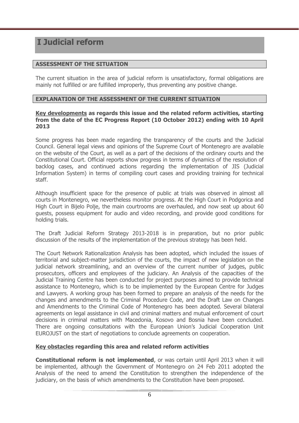# **I Judicial reform**

### **ASSESSMENT OF THE SITUATION**

The current situation in the area of judicial reform is unsatisfactory, formal obligations are mainly not fulfilled or are fulfilled improperly, thus preventing any positive change.

#### **EXPLANATION OF THE ASSESSMENT OF THE CURRENT SITUATION**

#### **Key developments as regards this issue and the related reform activities, starting from the date of the EC Progress Report (10 October 2012) ending with 10 April 2013**

Some progress has been made regarding the transparency of the courts and the Judicial Council. General legal views and opinions of the Supreme Court of Montenegro are available on the website of the Court, as well as a part of the decisions of the ordinary courts and the Constitutional Court. Official reports show progress in terms of dynamics of the resolution of backlog cases, and continued actions regarding the implementation of JIS (Judicial Information System) in terms of compiling court cases and providing training for technical staff.

Although insufficient space for the presence of public at trials was observed in almost all courts in Montenegro, we nevertheless monitor progress. At the High Court in Podgorica and High Court in Bijelo Polje, the main courtrooms are overhauled, and now seat up about 60 guests, possess equipment for audio and video recording, and provide good conditions for holding trials.

The Draft Judicial Reform Strategy 2013-2018 is in preparation, but no prior public discussion of the results of the implementation of the previous strategy has been held.

The Court Network Rationalization Analysis has been adopted, which included the issues of territorial and subject-matter jurisdiction of the courts, the impact of new legislation on the judicial network streamlining, and an overview of the current number of judges, public prosecutors, officers and employees of the judiciary. An Analysis of the capacities of the Judicial Training Centre has been conducted for project purposes aimed to provide technical assistance to Montenegro, which is to be implemented by the European Centre for Judges and Lawyers. A working group has been formed to prepare an analysis of the needs for the changes and amendments to the Criminal Procedure Code, and the Draft Law on Changes and Amendments to the Criminal Code of Montenegro has been adopted. Several bilateral agreements on legal assistance in civil and criminal matters and mutual enforcement of court decisions in criminal matters with Macedonia, Kosovo and Bosnia have been concluded. There are ongoing consultations with the European Union's Judicial Cooperation Unit EUROJUST on the start of negotiations to conclude agreements on cooperation.

#### **Key obstacles regarding this area and related reform activities**

**Constitutional reform is not implemented**, or was certain until April 2013 when it will be implemented, although the Government of Montenegro on 24 Feb 2011 adopted the Analysis of the need to amend the Constitution to strengthen the independence of the judiciary, on the basis of which amendments to the Constitution have been proposed.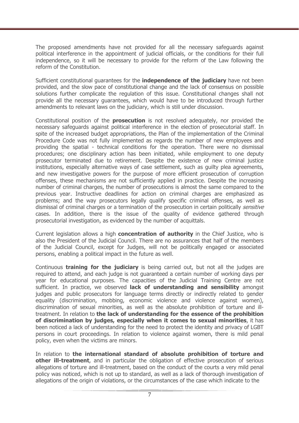The proposed amendments have not provided for all the necessary safeguards against political interference in the appointment of judicial officials, or the conditions for their full independence, so it will be necessary to provide for the reform of the Law following the reform of the Constitution.

Sufficient constitutional guarantees for the **independence of the judiciary** have not been provided, and the slow pace of constitutional change and the lack of consensus on possible solutions further complicate the regulation of this issue. Constitutional changes shall not provide all the necessary guarantees, which would have to be introduced through further amendments to relevant laws on the judiciary, which is still under discussion.

Constitutional position of the **prosecution** is not resolved adequately, nor provided the necessary safeguards against political interference in the election of prosecutorial staff. In spite of the increased budget appropriations, the Plan of the implementation of the Criminal Procedure Code was not fully implemented as regards the number of new employees and providing the spatial - technical conditions for the operation. There were no dismissal procedures; one disciplinary action has been initiated, while employment to one deputy prosecutor terminated due to retirement. Despite the existence of new criminal justice institutions, especially alternative ways of case settlement, such as guilty plea agreements, and new investigative powers for the purpose of more efficient prosecution of corruption offenses, these mechanisms are not sufficiently applied in practice. Despite the increasing number of criminal charges, the number of prosecutions is almost the same compared to the previous year. Instructive deadlines for action on criminal charges are emphasized as problems; and the way prosecutors legally qualify specific criminal offenses, as well as dismissal of criminal charges or a termination of the prosecution in certain politically *sensitive* cases. In addition, there is the issue of the quality of evidence gathered through prosecutorial investigation, as evidenced by the number of acquittals.

Current legislation allows a high **concentration of authority** in the Chief Justice, who is also the President of the Judicial Council. There are no assurances that half of the members of the Judicial Council, except for Judges, will not be politically engaged or associated persons, enabling a political impact in the future as well.

Continuous **training for the judiciary** is being carried out, but not all the judges are required to attend, and each judge is not guaranteed a certain number of working days per year for educational purposes. The capacities of the Judicial Training Centre are not sufficient. In practice, we observed **lack of understanding and sensibility** amongst judges and public prosecutors for language terms directly or indirectly related to gender equality (discrimination, mobbing, economic violence and violence against women), discrimination of sexual minorities, as well as the absolute prohibition of torture and illtreatment. In relation to **the lack of understanding for the essence of the prohibition of discrimination by judges, especially when it comes to sexual minorities**, it has been noticed a lack of understanding for the need to protect the identity and privacy of LGBT persons in court proceedings. In relation to violence against women, there is mild penal policy, even when the victims are minors.

In relation to **the international standard of absolute prohibition of torture and other ill-treatment**, and in particular the obligation of effective prosecution of serious allegations of torture and ill-treatment, based on the conduct of the courts a very mild penal policy was noticed, which is not up to standard, as well as a lack of thorough investigation of allegations of the origin of violations, or the circumstances of the case which indicate to the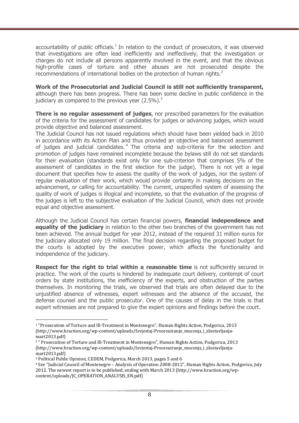accountability of public officials. $<sup>1</sup>$  In relation to the conduct of prosecutors, it was observed</sup> that investigations are often lead inefficiently and ineffectively, that the investigation or charges do not include all persons apparently involved in the event, and that the obvious high-profile cases of torture and other abuses are not prosecuted despite the recommendations of international bodies on the protection of human rights. $2$ 

**Work of the Prosecutorial and Judicial Council is still not sufficiently transparent,** although there has been progress. There has been some decline in public confidence in the judiciary as compared to the previous year  $(2.5\%)$ .<sup>3</sup>

**There is no regular assessment of judges**, nor prescribed parameters for the evaluation of the criteria for the assessment of candidates for judges or advancing judges, which would provide objective and balanced assessment.

The Judicial Council has not issued regulations which should have been yielded back in 2010 in accordance with its Action Plan and thus provided an objective and balanced assessment of judges and judicial candidates.<sup>4</sup> The criteria and sub-criteria for the selection and promotion of judges have remained incomplete because the bylaws still do not set standards for their evaluation (standards exist only for one sub-criterion that comprises 5% of the assessment of candidates in the first election for the judge). There is not yet a legal document that specifies how to assess the quality of the work of judges, nor the system of regular evaluation of their work, which would provide certainty in making decisions on the advancement, or calling for accountability. The current, unspecified system of assessing the quality of work of judges is illogical and incomplete, so that the evaluation of the progress of the judges is left to the subjective evaluation of the Judicial Council, which does not provide equal and objective assessment.

Although the Judicial Council has certain financial powers, **financial independence and equality of the judiciary** in relation to the other two branches of the government has not been achieved. The annual budget for year 2012, instead of the required 31 million euros for the judiciary allocated only 19 million. The final decision regarding the proposed budget for the courts is adopted by the executive power, which affects the functionality and independence of the judiciary.

**Respect for the right to trial within a reasonable time** is not sufficiently secured in practice. The work of the courts is hindered by inadequate court delivery, contempt of court orders by state institutions, the inefficiency of the experts, and obstruction of the parties themselves. In monitoring the trials, we observed that trials are often delayed due to the unjustified absence of witnesses, expert witnesses and the absence of the accused, the defense counsel and the public prosecutor. One of the causes of delay in the trials is that expert witnesses are not prepared to give the expert opinions and findings before the court.

 $\overline{a}$ 1 "Prosecution of Torture and Ill-Treatment in Montenegro", Human Rights Action, Podgorica, 2013 (http://www.hraction.org/wp-content/uploads/Izvjestaj-Procesuiranje\_mucenja\_i\_zlostavljanjamart2013.pdf)

<sup>&</sup>lt;sup>2</sup> " Prosecution of Torture and Ill-Treatment in Montenegro", Human Rights Action, Podgorica, 2013 (http://www.hraction.org/wp-content/uploads/Izvjestaj-Procesuiranje\_mucenja\_i\_zlostavljanjamart2013.pdf)

<sup>3</sup> Political Public Opinion, CEDEM, Podgorica, March 2013, pages 5 and 6

<sup>4</sup> See "Judicial Council of Montenegro – Analysis of Operation 2008-2012", Human Rights Action, Podgorica, July 2012. The newest report is to be published, ending with March 2013 (http://www.hraction.org/wpcontent/uploads/JC\_OPERATION\_ANALYSIS\_EN.pdf)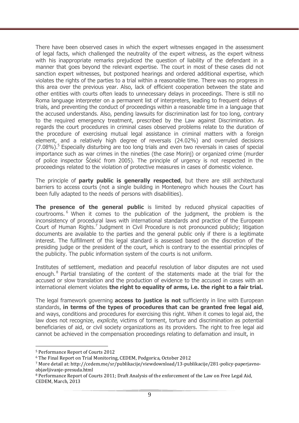There have been observed cases in which the expert witnesses engaged in the assessment of legal facts, which challenged the neutrality of the expert witness, as the expert witness with his inappropriate remarks prejudiced the question of liability of the defendant in a manner that goes beyond the relevant expertise. The court in most of these cases did not sanction expert witnesses, but postponed hearings and ordered additional expertise, which violates the rights of the parties to a trial within a reasonable time. There was no progress in this area over the previous year. Also, lack of efficient cooperation between the state and other entities with courts often leads to unnecessary delays in proceedings. There is still no Roma language interpreter on a permanent list of interpreters, leading to frequent delays of trials, and preventing the conduct of proceedings within a reasonable time in a language that the accused understands. Also, pending lawsuits for discrimination last for too long, contrary to the required emergency treatment, prescribed by the Law against Discrimination. As regards the court procedures in criminal cases observed problems relate to the duration of the procedure of exercising mutual legal assistance in criminal matters with a foreign element, and a relatively high degree of reversals (24.02%) and overruled decisions  $(7.08\%)$ .<sup>5</sup> Especially disturbing are too long trials and even two reversals in cases of special importance such as war crimes in the nineties (the case Morinj) or organized crime (murder of police inspector Šćekić from 2005). The principle of urgency is not respected in the proceedings related to the violation of protective measures in cases of domestic violence.

The principle of **party public is generally respected**, but there are still architectural barriers to access courts (not a single building in Montenegro which houses the Court has been fully adapted to the needs of persons with disabilities).

**The presence of the general public** is limited by reduced physical capacities of courtrooms. <sup>6</sup> When it comes to the publication of the judgment, the problem is the inconsistency of procedural laws with international standards and practice of the European Court of Human Rights.<sup>7</sup> Judgment in Civil Procedure is not pronounced publicly; litigation documents are available to the parties and the general public only if there is a legitimate interest. The fulfillment of this legal standard is assessed based on the discretion of the presiding judge or the president of the court, which is contrary to the essential principles of the publicity. The public information system of the courts is not uniform.

Institutes of settlement, mediation and peaceful resolution of labor disputes are not used enough.<sup>8</sup> Partial translating of the content of the statements made at the trial for the accused or slow translation and the production of evidence to the accused in cases with an international element violates **the right to equality of arms, i.e. the right to a fair trial.** 

The legal framework governing **access to justice is not** sufficiently in line with European standards, **in terms of the types of procedures that can be granted free legal aid**, and ways, conditions and procedures for exercising this right. When it comes to legal aid, the law does not recognize, *explicite*, victims of torment, torture and discrimination as potential beneficiaries of aid, or civil society organizations as its providers. The right to free legal aid cannot be achieved in the compensation proceedings relating to defamation and insult, in

<sup>5</sup> Performance Report of Courts 2012

<sup>6</sup> The Final Report on Trial Monitoring, CEDEM, Podgorica, October 2012

<sup>7</sup> More detail at: http://cedem.me/sr/publikacije/viewdownload/13-publikacije/281-policy-paperjavnoobjavljivanje-presuda.html

<sup>8</sup> Performance Report of Courts 2011; Draft Analysis of the enforcement of the Law on Free Legal Aid, CEDEM, March, 2013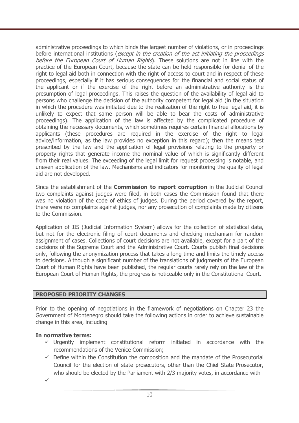administrative proceedings to which binds the largest number of violations, or in proceedings before international institutions (except in the creation of the act initiating the proceedings before the European Court of Human Rights). These solutions are not in line with the practice of the European Court, because the state can be held responsible for denial of the right to legal aid both in connection with the right of access to court and in respect of these proceedings, especially if it has serious consequences for the financial and social status of the applicant or if the exercise of the right before an administrative authority is the presumption of legal proceedings. This raises the question of the availability of legal aid to persons who challenge the decision of the authority competent for legal aid (in the situation in which the procedure was initiated due to the realization of the right to free legal aid, it is unlikely to expect that same person will be able to bear the costs of administrative proceedings). The application of the law is affected by the complicated procedure of obtaining the necessary documents, which sometimes requires certain financial allocations by applicants (these procedures are required in the exercise of the right to legal advice/information, as the law provides no exception in this regard); then the means test prescribed by the law and the application of legal provisions relating to the property or property rights that generate income the nominal value of which is significantly different from their real values. The exceeding of the legal limit for request processing is notable, and uneven application of the law. Mechanisms and indicators for monitoring the quality of legal aid are not developed.

Since the establishment of the **Commission to report corruption** in the Judicial Council two complaints against judges were filed, in both cases the Commission found that there was no violation of the code of ethics of judges. During the period covered by the report, there were no complaints against judges, nor any prosecution of complaints made by citizens to the Commission.

Application of JIS (Judicial Information System) allows for the collection of statistical data, but not for the electronic filing of court documents and checking mechanism for random assignment of cases. Collections of court decisions are not available, except for a part of the decisions of the Supreme Court and the Administrative Court. Courts publish final decisions only, following the anonymization process that takes a long time and limits the timely access to decisions. Although a significant number of the translations of judgments of the European Court of Human Rights have been published, the regular courts rarely rely on the law of the European Court of Human Rights, the progress is noticeable only in the Constitutional Court.

## **PROPOSED PRIORITY CHANGES**

Prior to the opening of negotiations in the framework of negotiations on Chapter 23 the Government of Montenegro should take the following actions in order to achieve sustainable change in this area, including

## **In normative terms:**

- $\checkmark$  Urgently implement constitutional reform initiated in accordance with the recommendations of the Venice Commission;
- $\checkmark$  Define within the Constitution the composition and the mandate of the Prosecutorial Council for the election of state prosecutors, other than the Chief State Prosecutor, who should be elected by the Parliament with 2/3 majority votes, in accordance with

 $\checkmark$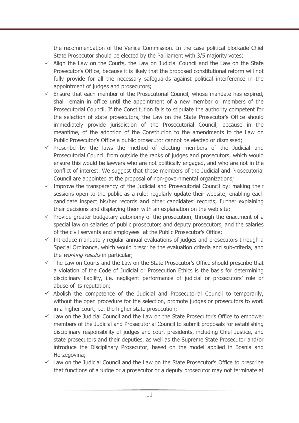the recommendation of the Venice Commission. In the case political blockade Chief State Prosecutor should be elected by the Parliament with 3/5 majority votes;

- $\checkmark$  Align the Law on the Courts, the Law on Judicial Council and the Law on the State Prosecutor's Office, because it is likely that the proposed constitutional reform will not fully provide for all the necessary safeguards against political interference in the appointment of judges and prosecutors;
- $\checkmark$  Ensure that each member of the Prosecutorial Council, whose mandate has expired, shall remain in office until the appointment of a new member or members of the Prosecutorial Council. If the Constitution fails to stipulate the authority competent for the selection of state prosecutors, the Law on the State Prosecutor's Office should immediately provide jurisdiction of the Prosecutorial Council, because in the meantime, of the adoption of the Constitution to the amendments to the Law on Public Prosecutor's Office a public prosecutor cannot be elected or dismissed;
- $\checkmark$  Prescribe by the laws the method of electing members of the Judicial and Prosecutorial Council from outside the ranks of judges and prosecutors, which would ensure this would be lawyers who are not politically engaged, and who are not in the conflict of interest. We suggest that these members of the Judicial and Prosecutorial Council are appointed at the proposal of non-governmental organizations;
- $\checkmark$  Improve the transparency of the Judicial and Prosecutorial Council by: making their sessions open to the public as a rule; regularly update their website; enabling each candidate inspect his/her records and other candidates' records; further explaining their decisions and displaying them with an explanation on the web site;
- $\checkmark$  Provide greater budgetary autonomy of the prosecution, through the enactment of a special law on salaries of public prosecutors and deputy prosecutors, and the salaries of the civil servants and employees at the Public Prosecutor's Office;
- $\checkmark$  Introduce mandatory regular annual evaluations of judges and prosecutors through a Special Ordinance, which would prescribe the evaluation criteria and sub-criteria, and the *working results* in particular;
- $\checkmark$  The Law on Courts and the Law on the State Prosecutor's Office should prescribe that a violation of the Code of Judicial or Prosecution Ethics is the basis for determining disciplinary liability, i.e. negligent performance of judicial or prosecutors' role or abuse of its reputation;
- $\checkmark$  Abolish the competence of the Judicial and Prosecutorial Council to temporarily, without the open procedure for the selection, promote judges or prosecutors to work in a higher court, i.e. the higher state prosecution;
- $\checkmark$  Law on the Judicial Council and the Law on the State Prosecutor's Office to empower members of the Judicial and Prosecutorial Council to submit proposals for establishing disciplinary responsibility of judges and court presidents, including Chief Justice, and state prosecutors and their deputies, as well as the Supreme State Prosecutor and/or introduce the Disciplinary Prosecutor, based on the model applied in Bosnia and Herzegovina;
- $\checkmark$  Law on the Judicial Council and the Law on the State Prosecutor's Office to prescribe that functions of a judge or a prosecutor or a deputy prosecutor may not terminate at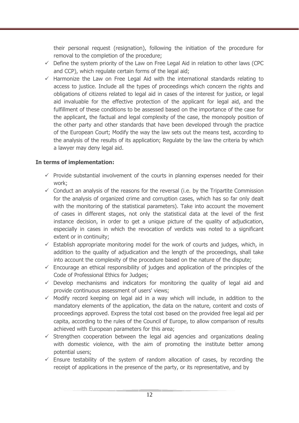their personal request (resignation), following the initiation of the procedure for removal to the completion of the procedure;

- $\checkmark$  Define the system priority of the Law on Free Legal Aid in relation to other laws (CPC and CCP), which regulate certain forms of the legal aid;
- $\checkmark$  Harmonize the Law on Free Legal Aid with the international standards relating to access to justice. Include all the types of proceedings which concern the rights and obligations of citizens related to legal aid in cases of the interest for justice, or legal aid invaluable for the effective protection of the applicant for legal aid, and the fulfillment of these conditions to be assessed based on the importance of the case for the applicant, the factual and legal complexity of the case, the monopoly position of the other party and other standards that have been developed through the practice of the European Court; Modify the way the law sets out the means test, according to the analysis of the results of its application; Regulate by the law the criteria by which a lawyer may deny legal aid.

## **In terms of implementation:**

- $\checkmark$  Provide substantial involvement of the courts in planning expenses needed for their work;
- $\checkmark$  Conduct an analysis of the reasons for the reversal (i.e. by the Tripartite Commission for the analysis of organized crime and corruption cases, which has so far only dealt with the monitoring of the statistical parameters). Take into account the movement of cases in different stages, not only the statistical data at the level of the first instance decision, in order to get a unique picture of the quality of adjudication, especially in cases in which the revocation of verdicts was noted to a significant extent or in continuity;
- $\checkmark$  Establish appropriate monitoring model for the work of courts and judges, which, in addition to the quality of adjudication and the length of the proceedings, shall take into account the complexity of the procedure based on the nature of the dispute;
- $\checkmark$  Encourage an ethical responsibility of judges and application of the principles of the Code of Professional Ethics for Judges;
- $\checkmark$  Develop mechanisms and indicators for monitoring the quality of legal aid and provide continuous assessment of users' views;
- $\checkmark$  Modify record keeping on legal aid in a way which will include, in addition to the mandatory elements of the application, the data on the nature, content and costs of proceedings approved. Express the total cost based on the provided free legal aid per capita, according to the rules of the Council of Europe, to allow comparison of results achieved with European parameters for this area;
- $\checkmark$  Strengthen cooperation between the legal aid agencies and organizations dealing with domestic violence, with the aim of promoting the institute better among potential users;
- $\checkmark$  Ensure testability of the system of random allocation of cases, by recording the receipt of applications in the presence of the party, or its representative, and by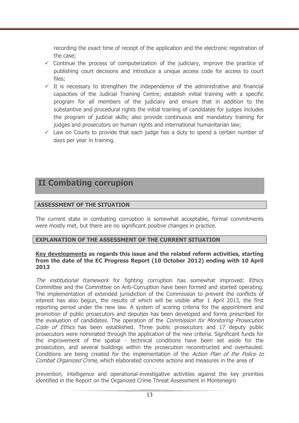recording the exact time of receipt of the application and the electronic registration of the case;

- $\checkmark$  Continue the process of computerization of the judiciary, improve the practice of publishing court decisions and introduce a unique access code for access to court files;
- $\checkmark$  It is necessary to strengthen the independence of the administrative and financial capacities of the Judicial Training Centre; establish initial training with a specific program for all members of the judiciary and ensure that in addition to the substantive and procedural rights the initial training of candidates for judges includes the program of judicial skills; also provide continuous and mandatory training for judges and prosecutors on human rights and international humanitarian law;
- $\checkmark$  Law on Courts to provide that each judge has a duty to spend a certain number of days per year in training.

## **II Combating corrupion**

## **ASSESSMENT OF THE SITUATION**

The current state in combating corruption is somewhat acceptable, formal commitments were mostly met, but there are no significant positive changes in practice.

## **EXPLANATION OF THE ASSESSMENT OF THE CURRENT SITUATION**

#### **Key developments as regards this issue and the related reform activities, starting from the date of the EC Progress Report (10 October 2012) ending with 10 April 2013**

The *institutional framework* for fighting corruption has somewhat improved: Ethics Committee and the Committee on Anti-Corruption have been formed and started operating. The implementation of extended jurisdiction of the Commission to prevent the conflicts of interest has also begun, the results of which will be visible after 1 April 2013, the first reporting period under the new law. A system of scoring criteria for the appointment and promotion of public prosecutors and deputies has been developed and forms prescribed for the evaluation of candidates. The operation of the *Commission for Monitoring Prosecution* Code of Ethics has been established. Three public prosecutors and 17 deputy public prosecutors were nominated through the application of the new criteria. Significant funds for the improvement of the spatial - technical conditions have been set aside for the prosecution, and several buildings within the prosecution reconstructed and overhauled. Conditions are being created for the implementation of the Action Plan of the Police to Combat Organized Crime, which elaborated concrete actions and measures in the area of

prevention, intelligence and operational-investigative activities against the key priorities identified in the Report on the Organized Crime Threat Assessment in Montenegro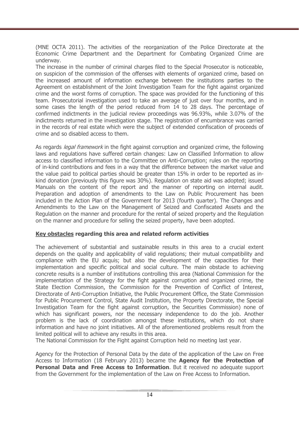(MNE OCTA 2011). The activities of the reorganization of the Police Directorate at the Economic Crime Department and the Department for Combating Organized Crime are underway.

The increase in the number of criminal charges filed to the Special Prosecutor is noticeable, on suspicion of the commission of the offenses with elements of organized crime, based on the increased amount of information exchange between the institutions parties to the Agreement on establishment of the Joint Investigation Team for the fight against organized crime and the worst forms of corruption. The space was provided for the functioning of this team. Prosecutorial investigation used to take an average of just over four months, and in some cases the length of the period reduced from 14 to 28 days. The percentage of confirmed indictments in the judicial review proceedings was 96.93%, while 3.07% of the indictments returned in the investigation stage. The registration of encumbrance was carried in the records of real estate which were the subject of extended confiscation of proceeds of crime and so disabled access to them.

As regards *legal framework* in the fight against corruption and organized crime, the following laws and regulations have suffered certain changes: Law on Classified Information to allow access to classified information to the Committee on Anti-Corruption; rules on the reporting of in-kind contributions and fees in a way that the difference between the market value and the value paid to political parties should be greater than 15% in order to be reported as inkind donation (previously this figure was 30%). Regulation on state aid was adopted; issued Manuals on the content of the report and the manner of reporting on internal audit. Preparation and adoption of amendments to the Law on Public Procurement has been included in the Action Plan of the Government for 2013 (fourth quarter). The Changes and Amendments to the Law on the Management of Seized and Confiscated Assets and the Regulation on the manner and procedure for the rental of seized property and the Regulation on the manner and procedure for selling the seized property, have been adopted.

## **Key obstacles regarding this area and related reform activities**

The achievement of substantial and sustainable results in this area to a crucial extent depends on the quality and applicability of valid regulations; their mutual compatibility and compliance with the EU acquis; but also the development of the capacities for their implementation and specific political and social culture. The main obstacle to achieving concrete results is a number of institutions controlling this area (National Commission for the implementation of the Strategy for the fight against corruption and organized crime, the State Election Commission, the Commission for the Prevention of Conflict of Interest, Directorate of Anti-Corruption Initiative, the Public Procurement Office, the State Commission for Public Procurement Control, State Audit Institution, the Property Directorate, the Special Investigation Team for the fight against corruption, the Securities Commission) none of which has significant powers, nor the necessary independence to do the job. Another problem is the lack of coordination amongst these institutions, which do not share information and have no joint initiatives. All of the aforementioned problems result from the limited political will to achieve any results in this area.

The National Commission for the Fight against Corruption held no meeting last year.

Agency for the Protection of Personal Data by the date of the application of the Law on Free Access to Information (18 February 2013) became the **Agency for the Protection of Personal Data and Free Access to Information**. But it received no adequate support from the Government for the implementation of the Law on Free Access to Information.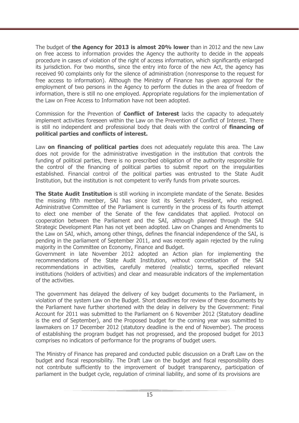The budget of **the Agency for 2013 is almost 20% lower** than in 2012 and the new Law on free access to information provides the Agency the authority to decide in the appeals procedure in cases of violation of the right of access information, which significantly enlarged its jurisdiction. For two months, since the entry into force of the new Act, the agency has received 90 complaints only for the silence of administration (nonresponse to the request for free access to information). Although the Ministry of Finance has given approval for the employment of two persons in the Agency to perform the duties in the area of freedom of information, there is still no one employed. Appropriate regulations for the implementation of the Law on Free Access to Information have not been adopted.

Commission for the Prevention of **Conflict of Interest** lacks the capacity to adequately implement activities foreseen within the Law on the Prevention of Conflict of Interest. There is still no independent and professional body that deals with the control of **financing of political parties and conflicts of interest.** 

Law **on financing of political parties** does not adequately regulate this area. The Law does not provide for the administrative investigation in the institution that controls the funding of political parties, there is no prescribed obligation of the authority responsible for the control of the financing of political parties to submit report on the irregularities established. Financial control of the political parties was entrusted to the State Audit Institution, but the institution is not competent to verify funds from private sources.

**The State Audit Institution** is still working in incomplete mandate of the Senate. Besides the missing fifth member, SAI has since lost its Senate's President, who resigned. Administrative Committee of the Parliament is currently in the process of its fourth attempt to elect one member of the Senate of the few candidates that applied. Protocol on cooperation between the Parliament and the SAI, although planned through the SAI Strategic Development Plan has not yet been adopted. Law on Changes and Amendments to the Law on SAI, which, among other things, defines the financial independence of the SAI, is pending in the parliament of September 2011, and was recently again rejected by the ruling majority in the Committee on Economy, Finance and Budget.

Government in late November 2012 adopted an Action plan for implementing the recommendations of the State Audit Institution, without concretisation of the SAI recommendations in activities, carefully metered (realistic) terms, specified relevant institutions (holders of activities) and clear and measurable indicators of the implementation of the activities.

The government has delayed the delivery of key budget documents to the Parliament, in violation of the system Law on the Budget. Short deadlines for review of these documents by the Parliament have further shortened with the delay in delivery by the Government: Final Account for 2011 was submitted to the Parliament on 6 November 2012 (Statutory deadline is the end of September), and the Proposed budget for the coming year was submitted to lawmakers on 17 December 2012 (statutory deadline is the end of November). The process of establishing the program budget has not progressed, and the proposed budget for 2013 comprises no indicators of performance for the programs of budget users.

The Ministry of Finance has prepared and conducted public discussion on a Draft Law on the budget and fiscal responsibility. The Draft Law on the budget and fiscal responsibility does not contribute sufficiently to the improvement of budget transparency, participation of parliament in the budget cycle, regulation of criminal liability, and some of its provisions are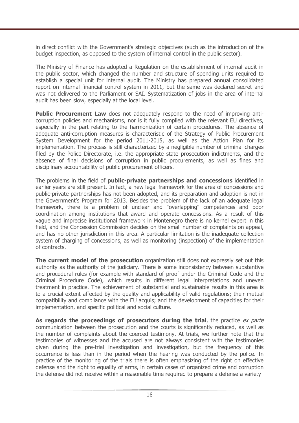in direct conflict with the Government's strategic objectives (such as the introduction of the budget inspection, as opposed to the system of internal control in the public sector).

The Ministry of Finance has adopted a Regulation on the establishment of internal audit in the public sector, which changed the number and structure of spending units required to establish a special unit for internal audit. The Ministry has prepared annual consolidated report on internal financial control system in 2011, but the same was declared secret and was not delivered to the Parliament or SAI. Systematization of jobs in the area of internal audit has been slow, especially at the local level.

**Public Procurement Law** does not adequately respond to the need of improving anticorruption policies and mechanisms, nor is it fully complied with the relevant EU directives, especially in the part relating to the harmonization of certain procedures. The absence of adequate anti-corruption measures is characteristic of the Strategy of Public Procurement System Development for the period 2011-2015, as well as the Action Plan for its implementation. The process is still characterized by a negligible number of criminal charges filed by the Police Directorate, i.e. the appropriate state prosecution indictments, and the absence of final decisions of corruption in public procurements, as well as fines and disciplinary accountability of public procurement officers.

The problems in the field of **public-private partnerships and concessions** identified in earlier years are still present. In fact, a new legal framework for the area of concessions and public-private partnerships has not been adopted, and its preparation and adoption is not in the Government's Program for 2013. Besides the problem of the lack of an adequate legal framework, there is a problem of unclear and "overlapping" competences and poor coordination among institutions that award and operate concessions. As a result of this vague and imprecise institutional framework in Montenegro there is no kernel expert in this field, and the Concession Commission decides on the small number of complaints on appeal, and has no other jurisdiction in this area. A particular limitation is the inadequate collection system of charging of concessions, as well as monitoring (inspection) of the implementation of contracts.

**The current model of the prosecution** organization still does not expressly set out this authority as the authority of the judiciary. There is some inconsistency between substantive and procedural rules (for example with standard of proof under the Criminal Code and the Criminal Procedure Code), which results in different legal interpretations and uneven treatment in practice. The achievement of substantial and sustainable results in this area is to a crucial extent affected by the quality and applicability of valid regulations; their mutual compatibility and compliance with the EU acquis; and the development of capacities for their implementation, and specific political and social culture.

As regards the proceedings of prosecutors during the trial, the practice ex parte communication between the prosecution and the courts is significantly reduced, as well as the number of complaints about the coerced testimony. At trials, we further note that the testimonies of witnesses and the accused are not always consistent with the testimonies given during the pre-trial investigation and investigation, but the frequency of this occurrence is less than in the period when the hearing was conducted by the police. In practice of the monitoring of the trials there is often emphasizing of the right on effective defense and the right to equality of arms, in certain cases of organized crime and corruption the defense did not receive within a reasonable time required to prepare a defense a variety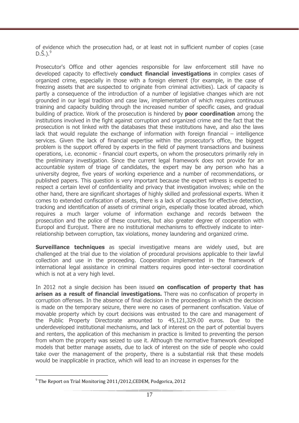of evidence which the prosecution had, or at least not in sufficient number of copies (case  $D.\check{S}$ .).<sup>9</sup>

Prosecutor's Office and other agencies responsible for law enforcement still have no developed capacity to effectively **conduct financial investigations** in complex cases of organized crime, especially in those with a foreign element (for example, in the case of freezing assets that are suspected to originate from criminal activities). Lack of capacity is partly a consequence of the introduction of a number of legislative changes which are not grounded in our legal tradition and case law, implementation of which requires continuous training and capacity building through the increased number of specific cases, and gradual building of practice. Work of the prosecution is hindered by **poor coordination** among the institutions involved in the fight against corruption and organized crime and the fact that the prosecution is not linked with the databases that these institutions have, and also the laws lack that would regulate the exchange of information with foreign financial – intelligence services. Given the lack of financial expertise within the prosecutor's office, the biggest problem is the support offered by experts in the field of payment transactions and business operations, i.e. economic - financial court experts, on whom the prosecutors primarily rely in the preliminary investigation. Since the current legal framework does not provide for an accountable system of triage of candidates, the expert may be any person who has a university degree, five years of working experience and a number of recommendations, or published papers. This question is very important because the expert witness is expected to respect a certain level of confidentiality and privacy that investigation involves; while on the other hand, there are significant shortages of highly skilled and professional experts. When it comes to extended confiscation of assets, there is a lack of capacities for effective detection, tracking and identification of assets of criminal origin, especially those located abroad, which requires a much larger volume of information exchange and records between the prosecution and the police of these countries, but also greater degree of cooperation with Europol and Eurojust. There are no institutional mechanisms to effectively indicate to interrelationship between corruption, tax violations, money laundering and organized crime.

**Surveillance techniques** as special investigative means are widely used, but are challenged at the trial due to the violation of procedural provisions applicable to their lawful collection and use in the proceeding. Cooperation implemented in the framework of international legal assistance in criminal matters requires good inter-sectoral coordination which is not at a very high level.

In 2012 not a single decision has been issued **on confiscation of property that has arisen as a result of financial investigations.** There was no confiscation of property in corruption offenses. In the absence of final decision in the proceedings in which the decision is made on the temporary seizure, there were no cases of permanent confiscation. Value of movable property which by court decisions was entrusted to the care and management of the Public Property Directorate amounted to 45,121,329.00 euros. Due to the underdeveloped institutional mechanisms, and lack of interest on the part of potential buyers and renters, the application of this mechanism in practice is limited to preventing the person from whom the property was seized to use it. Although the normative framework developed models that better manage assets, due to lack of interest on the side of people who could take over the management of the property, there is a substantial risk that these models would be inapplicable in practice, which will lead to an increase in expenses for the

 $\overline{a}$  $^9$  The Report on Trial Monitoring 2011/2012, CEDEM, Podgorica, 2012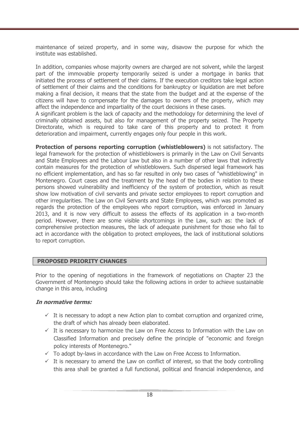maintenance of seized property, and in some way, disavow the purpose for which the institute was established.

In addition, companies whose majority owners are charged are not solvent, while the largest part of the immovable property temporarily seized is under a mortgage in banks that initiated the process of settlement of their claims. If the execution creditors take legal action of settlement of their claims and the conditions for bankruptcy or liquidation are met before making a final decision, it means that the state from the budget and at the expense of the citizens will have to compensate for the damages to owners of the property, which may affect the independence and impartiality of the court decisions in these cases.

A significant problem is the lack of capacity and the methodology for determining the level of criminally obtained assets, but also for management of the property seized. The Property Directorate, which is required to take care of this property and to protect it from deterioration and impairment, currently engages only four people in this work.

**Protection of persons reporting corruption (whistleblowers)** is not satisfactory. The legal framework for the protection of whistleblowers is primarily in the Law on Civil Servants and State Employees and the Labour Law but also in a number of other laws that indirectly contain measures for the protection of whistleblowers. Such dispersed legal framework has no efficient implementation, and has so far resulted in only two cases of "whistleblowing" in Montenegro. Court cases and the treatment by the head of the bodies in relation to these persons showed vulnerability and inefficiency of the system of protection, which as result show low motivation of civil servants and private sector employees to report corruption and other irregularities. The Law on Civil Servants and State Employees, which was promoted as regards the protection of the employees who report corruption, was enforced in January 2013, and it is now very difficult to assess the effects of its application in a two-month period. However, there are some visible shortcomings in the Law, such as: the lack of comprehensive protection measures, the lack of adequate punishment for those who fail to act in accordance with the obligation to protect employees, the lack of institutional solutions to report corruption.

## **PROPOSED PRIORITY CHANGES**

Prior to the opening of negotiations in the framework of negotiations on Chapter 23 the Government of Montenegro should take the following actions in order to achieve sustainable change in this area, including

#### **In normative terms:**

- $\checkmark$  It is necessary to adopt a new Action plan to combat corruption and organized crime, the draft of which has already been elaborated.
- $\checkmark$  It is necessary to harmonize the Law on Free Access to Information with the Law on Classified Information and precisely define the principle of "economic and foreign policy interests of Montenegro."
- $\checkmark$  To adopt by-laws in accordance with the Law on Free Access to Information.
- $\checkmark$  It is necessary to amend the Law on conflict of interest, so that the body controlling this area shall be granted a full functional, political and financial independence, and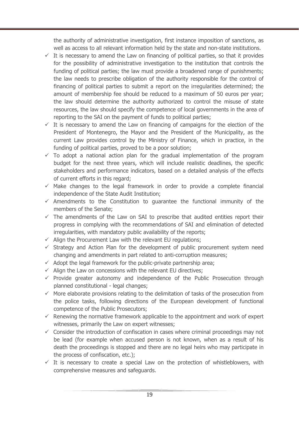the authority of administrative investigation, first instance imposition of sanctions, as well as access to all relevant information held by the state and non-state institutions.

- $\checkmark$  It is necessary to amend the Law on financing of political parties, so that it provides for the possibility of administrative investigation to the institution that controls the funding of political parties; the law must provide a broadened range of punishments; the law needs to prescribe obligation of the authority responsible for the control of financing of political parties to submit a report on the irregularities determined; the amount of membership fee should be reduced to a maximum of 50 euros per year; the law should determine the authority authorized to control the misuse of state resources, the law should specify the competence of local governments in the area of reporting to the SAI on the payment of funds to political parties;
- $\checkmark$  It is necessary to amend the Law on financing of campaigns for the election of the President of Montenegro, the Mayor and the President of the Municipality, as the current Law provides control by the Ministry of Finance, which in practice, in the funding of political parties, proved to be a poor solution;
- $\checkmark$  To adopt a national action plan for the gradual implementation of the program budget for the next three years, which will include realistic deadlines, the specific stakeholders and performance indicators, based on a detailed analysis of the effects of current efforts in this regard;
- $\checkmark$  Make changes to the legal framework in order to provide a complete financial independence of the State Audit Institution;
- $\checkmark$  Amendments to the Constitution to quarantee the functional immunity of the members of the Senate;
- $\checkmark$  The amendments of the Law on SAI to prescribe that audited entities report their progress in complying with the recommendations of SAI and elimination of detected irregularities, with mandatory public availability of the reports;
- $\checkmark$  Align the Procurement Law with the relevant EU regulations;
- $\checkmark$  Strategy and Action Plan for the development of public procurement system need changing and amendments in part related to anti-corruption measures;
- $\checkmark$  Adopt the legal framework for the public-private partnership area;
- $\checkmark$  Align the Law on concessions with the relevant EU directives;
- $\checkmark$  Provide greater autonomy and independence of the Public Prosecution through planned constitutional - legal changes;
- $\checkmark$  More elaborate provisions relating to the delimitation of tasks of the prosecution from the police tasks, following directions of the European development of functional competence of the Public Prosecutors;
- $\checkmark$  Renewing the normative framework applicable to the appointment and work of expert witnesses, primarily the Law on expert witnesses;
- $\checkmark$  Consider the introduction of confiscation in cases where criminal proceedings may not be lead (for example when accused person is not known, when as a result of his death the proceedings is stopped and there are no legal heirs who may participate in the process of confiscation, etc.);
- $\checkmark$  It is necessary to create a special Law on the protection of whistleblowers, with comprehensive measures and safeguards.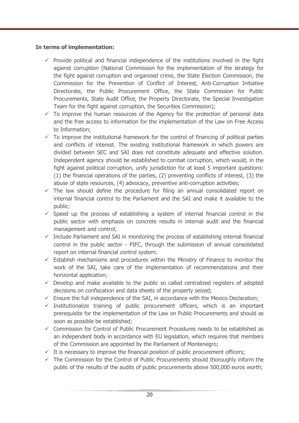## **In terms of implementation:**

- $\checkmark$  Provide political and financial independence of the institutions involved in the fight against corruption (National Commission for the implementation of the strategy for the fight against corruption and organized crime, the State Election Commission, the Commission for the Prevention of Conflict of Interest, Anti-Corruption Initiative Directorate, the Public Procurement Office, the State Commission for Public Procurements, State Audit Office, the Property Directorate, the Special Investigation Team for the fight against corruption, the Securities Commission);
- $\checkmark$  To improve the human resources of the Agency for the protection of personal data and the free access to information for the implementation of the Law on Free Access to Information;
- $\checkmark$  To improve the institutional framework for the control of financing of political parties and conflicts of interest. The existing institutional framework in which powers are divided between SEC and SAI does not constitute adequate and effective solution. Independent agency should be established to combat corruption, which would, in the fight against political corruption, unify jurisdiction for at least 5 important questions: (1) the financial operations of the parties, (2) preventing conflicts of interest, (3) the abuse of state resources, (4) advocacy, preventive anti-corruption activities;
- $\checkmark$  The law should define the procedure for filing an annual consolidated report on internal financial control to the Parliament and the SAI and make it available to the public;
- $\checkmark$  Speed up the process of establishing a system of internal financial control in the public sector with emphasis on concrete results in internal audit and the financial management and control;
- $\checkmark$  Include Parliament and SAI in monitoring the process of establishing internal financial control in the public sector - PIFC, through the submission of annual consolidated report on internal financial control system;
- $\checkmark$  Establish mechanisms and procedures within the Ministry of Finance to monitor the work of the SAI, take care of the implementation of recommendations and their horizontal application;
- $\checkmark$  Develop and make available to the public so called centralized registers of adopted decisions on confiscation and data sheets of the property seized;
- $\checkmark$  Ensure the full independence of the SAI, in accordance with the Mexico Declaration;
- $\checkmark$  Institutionalize training of public procurement officers, which is an important prerequisite for the implementation of the Law on Public Procurements and should as soon as possible be established;
- $\checkmark$  Commission for Control of Public Procurement Procedures needs to be established as an independent body in accordance with EU legislation, which requires that members of the Commission are appointed by the Parliament of Montenegro;
- $\checkmark$  It is necessary to improve the financial position of public procurement officers;
- $\checkmark$  The Commission for the Control of Public Procurements should thoroughly inform the public of the results of the audits of public procurements above 500,000 euros worth;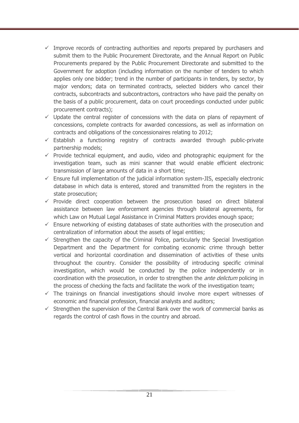- $\checkmark$  Improve records of contracting authorities and reports prepared by purchasers and submit them to the Public Procurement Directorate, and the Annual Report on Public Procurements prepared by the Public Procurement Directorate and submitted to the Government for adoption (including information on the number of tenders to which applies only one bidder; trend in the number of participants in tenders, by sector, by major vendors; data on terminated contracts, selected bidders who cancel their contracts, subcontracts and subcontractors, contractors who have paid the penalty on the basis of a public procurement, data on court proceedings conducted under public procurement contracts);
- $\checkmark$  Update the central register of concessions with the data on plans of repayment of concessions, complete contracts for awarded concessions, as well as information on contracts and obligations of the concessionaires relating to 2012;
- $\checkmark$  Establish a functioning registry of contracts awarded through public-private partnership models;
- $\checkmark$  Provide technical equipment, and audio, video and photographic equipment for the investigation team, such as mini scanner that would enable efficient electronic transmission of large amounts of data in a short time;
- $\checkmark$  Ensure full implementation of the judicial information system-JIS, especially electronic database in which data is entered, stored and transmitted from the registers in the state prosecution;
- $\checkmark$  Provide direct cooperation between the prosecution based on direct bilateral assistance between law enforcement agencies through bilateral agreements, for which Law on Mutual Legal Assistance in Criminal Matters provides enough space;
- $\checkmark$  Ensure networking of existing databases of state authorities with the prosecution and centralization of information about the assets of legal entities;
- $\checkmark$  Strengthen the capacity of the Criminal Police, particularly the Special Investigation Department and the Department for combating economic crime through better vertical and horizontal coordination and dissemination of activities of these units throughout the country. Consider the possibility of introducing specific criminal investigation, which would be conducted by the police independently or in coordination with the prosecution, in order to strengthen the *ante delictum* policing in the process of checking the facts and facilitate the work of the investigation team;
- $\checkmark$  The trainings on financial investigations should involve more expert witnesses of economic and financial profession, financial analysts and auditors;
- $\checkmark$  Strengthen the supervision of the Central Bank over the work of commercial banks as regards the control of cash flows in the country and abroad.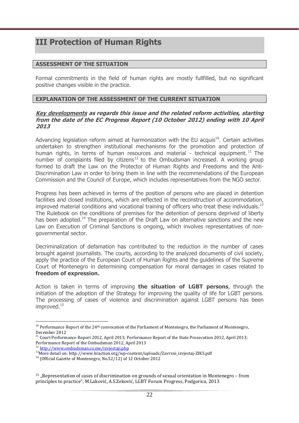# **III Protection of Human Rights**

### **ASSESSMENT OF THE SITUATION**

Formal commitments in the field of human rights are mostly fullfilled, but no significant positive changes visible in the practice.

#### **EXPLANATION OF THE ASSESSMENT OF THE CURRENT SITUATION**

#### **Key developments as regards this issue and the related reform activities, starting from the date of the EC Progress Report (10 October 2012) ending with 10 April 2013**

Advancing legislation reform aimed at harmonization with the EU acquis $^{10}$ . Certain activities undertaken to strengthen institutional mechanisms for the promotion and protection of human rights, in terms of human resources and material - technical equipment.<sup>11</sup> The number of complaints filed by citizens<sup>12</sup> to the Ombudsman increased. A working group formed to draft the Law on the Protector of Human Rights and Freedoms and the Anti-Discrimination Law in order to bring them in line with the recommendations of the European Commission and the Council of Europe, which includes representatives from the NGO sector.

Progress has been achieved in terms of the position of persons who are placed in detention facilities and closed institutions, which are reflected in the reconstruction of accommodation, improved material conditions and vocational training of officers who treat these individuals.<sup>13</sup> The Rulebook on the conditions of premises for the detention of persons deprived of liberty has been adopted.<sup>14</sup> The preparation of the Draft Law on alternative sanctions and the new Law on Execution of Criminal Sanctions is ongoing, which involves representatives of nongovernmental sector.

Decriminalization of defamation has contributed to the reduction in the number of cases brought against journalists. The courts, according to the analyzed documents of civil society, apply the practice of the European Court of Human Rights and the guidelines of the Supreme Court of Montenegro in determining compensation for moral damages in cases related to **freedom of expression.** 

Action is taken in terms of improving **the situation of LGBT persons**, through the initiation of the adoption of the Strategy for improving the quality of life for LGBT persons. The processing of cases of violence and discrimination against LGBT persons has been improved.<sup>15</sup>

<sup>&</sup>lt;sup>10</sup> Performance Report of the 24<sup>th</sup> convocation of the Parliament of Montenegro, the Parliament of Montenegro, December 2012

 $11$  Court Performance Report 2012, April 2013; Performance Report of the State Prosecution 2012, April 2013; Performance Report of the Ombudsman 2012, April 2013 <sup>12</sup> http://www.ombudsman.co.me/izvjestaji.php

<sup>13</sup>More detail on: http://www.hraction.org/wp-content/uploads/Zavrsni\_izvjestaj-ZIKS.pdf

<sup>&</sup>lt;sup>14</sup> (Official Gazette of Montenegro, No.52/12) of 12 October 2012

<sup>&</sup>lt;sup>15</sup> "Representation of cases of discrimination on grounds of sexual orientation in Montenegro - from principles to practice", M.Laković, A.S.Zeković, LGBT Forum Progress, Podgorica, 2013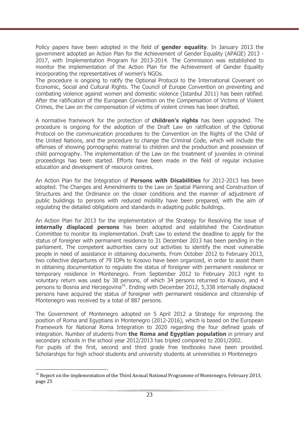Policy papers have been adopted in the field of **gender equality**. In January 2013 the government adopted an Action Plan for the Achievement of Gender Equality (APAGE) 2013 - 2017, with Implementation Program for 2013-2014. The Commission was established to monitor the implementation of the Action Plan for the Achievement of Gender Equality incorporating the representatives of women's NGOs.

The procedure is ongoing to ratify the Optional Protocol to the International Covenant on Economic, Social and Cultural Rights. The Council of Europe Convention on preventing and combating violence against women and domestic violence (Istanbul 2011) has been ratified. After the ratification of the European Convention on the Compensation of Victims of Violent Crimes, the Law on the compensation of victims of violent crimes has been drafted.

A normative framework for the protection of **children's rights** has been upgraded. The procedure is ongoing for the adoption of the Draft Law on ratification of the Optional Protocol on the communication procedures to the Convention on the Rights of the Child of the United Nations, and the procedure to change the Criminal Code, which will include the offenses of showing pornographic material to children and the production and possession of child pornography. The implementation of the Law on the treatment of juveniles in criminal proceedings has been started. Efforts have been made in the field of regular inclusive education and development of resource centres.

An Action Plan for the Integration of **Persons with Disabilities** for 2012-2013 has been adopted. The Changes and Amendments to the Law on Spatial Planning and Construction of Structures and the Ordinance on the closer conditions and the manner of adjustment of public buildings to persons with reduced mobility have been prepared, with the aim of regulating the detailed obligations and standards in adapting public buildings.

An Action Plan for 2013 for the implementation of the Strategy for Resolving the issue of **internally displaced persons** has been adopted and established the Coordination Committee to monitor its implementation. Draft Law to extend the deadline to apply for the status of foreigner with permanent residence to 31 December 2013 has been pending in the parliament. The competent authorities carry out activities to identify the most vulnerable people in need of assistance in obtaining documents. From October 2012 to February 2013, two collective departures of 79 IDPs to Kosovo have been organized, in order to assist them in obtaining documentation to regulate the status of foreigner with permanent residence or temporary residence in Montenegro. From September 2012 to February 2013 right to voluntary return was used by 38 persons, of which 34 persons returned to Kosovo, and 4 persons to Bosnia and Herzegovina<sup>16</sup>. Ending with December 2012, 5,338 internally displaced persons have acquired the status of foreigner with permanent residence and citizenship of Montenegro was received by a total of 887 persons.

The Government of Montenegro adopted on 5 April 2012 a Strategy for improving the position of Roma and Egyptians in Montenegro (2012-2016), which is based on the European Framework for National Roma Integration to 2020 regarding the four defined goals of integration. Number of students from **the Roma and Egyptian population** in primary and secondary schools in the school year 2012/2013 has tripled compared to 2001/2002. For pupils of the first, second and third grade free textbooks have been provided. Scholarships for high school students and university students at universities in Montenegro

 $\overline{a}$ <sup>16</sup> Report on the implementation of the Third Annual National Programme of Montenegro, February 2013, page 25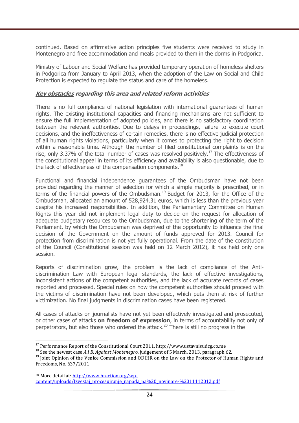continued. Based on affirmative action principles five students were received to study in Montenegro and free accommodation and meals provided to them in the dorms in Podgorica.

Ministry of Labour and Social Welfare has provided temporary operation of homeless shelters in Podgorica from January to April 2013, when the adoption of the Law on Social and Child Protection is expected to regulate the status and care of the homeless.

### **Key obstacles regarding this area and related reform activities**

There is no full compliance of national legislation with international guarantees of human rights. The existing institutional capacities and financing mechanisms are not sufficient to ensure the full implementation of adopted policies, and there is no satisfactory coordination between the relevant authorities. Due to delays in proceedings, failure to execute court decisions, and the ineffectiveness of certain remedies, there is no effective judicial protection of all human rights violations, particularly when it comes to protecting the right to decision within a reasonable time. Although the number of filed constitutional complaints is on the rise, only 3.37% of the total number of cases was resolved positively.<sup>17</sup> The effectiveness of the constitutional appeal in terms of its efficiency and availability is also questionable, due to the lack of effectiveness of the compensation components. $^{18}$ 

Functional and financial independence guarantees of the Ombudsman have not been provided regarding the manner of selection for which a simple majority is prescribed, or in terms of the financial powers of the Ombudsman.<sup>19</sup> Budget for 2013, for the Office of the Ombudsman, allocated an amount of 528,924.31 euros, which is less than the previous year despite his increased responsibilities. In addition, the Parliamentary Committee on Human Rights this year did not implement legal duty to decide on the request for allocation of adequate budgetary resources to the Ombudsman, due to the shortening of the term of the Parliament, by which the Ombudsman was deprived of the opportunity to influence the final decision of the Government on the amount of funds approved for 2013. Council for protection from discrimination is not yet fully operational. From the date of the constitution of the Council (Constitutional session was held on 12 March 2012), it has held only one session.

Reports of discrimination grow, the problem is the lack of compliance of the Antidiscrimination Law with European legal standards, the lack of effective investigations, inconsistent actions of the competent authorities, and the lack of accurate records of cases reported and processed. Special rules on how the competent authorities should proceed with the victims of discrimination have not been developed, which puts them at risk of further victimization. No final judgments in discrimination cases have been registered.

All cases of attacks on journalists have not yet been effectively investigated and prosecuted, or other cases of attacks **on freedom of expression**, in terms of accountability not only of perpetrators, but also those who ordered the attack.<sup>20</sup> There is still no progress in the

 $\overline{a}$ <sup>17</sup> Performance Report of the Constitutional Court 2011, http://www.ustavnisudcg.co.me

<sup>18</sup> See the newest case *A.I B. Against Montenegro*, judgement of 5 March, 2013, paragraph 62.

<sup>&</sup>lt;sup>19</sup> Joint Opinion of the Venice Commission and ODIHR on the Law on the Protector of Human Rights and Freedoms, No. 637/2011

<sup>20</sup> More detail at: http://www.hraction.org/wpcontent/uploads/Izvestaj\_procesuiranje\_napada\_na%20\_novinare-%2011112012.pdf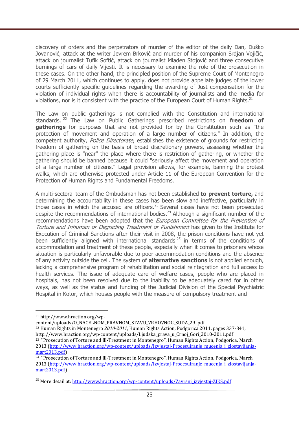discovery of orders and the perpetrators of murder of the editor of the daily Dan, Duško Jovanović, attack at the writer Jevrem Brković and murder of his companion Srdjan Vojičić, attack on journalist Tufik Softić, attack on journalist Mladen Stojović and three consecutive burnings of cars of daily Vijesti. It is necessary to examine the role of the prosecution in these cases. On the other hand, the principled position of the Supreme Court of Montenegro of 29 March 2011, which continues to apply, does not provide appellate judges of the lower courts sufficiently specific guidelines regarding the awarding of Just compensation for the violation of individual rights when there is accountability of journalists and the media for violations, nor is it consistent with the practice of the European Court of Human Rights.<sup>21</sup>

The Law on public gatherings is not complied with the Constitution and international standards. <sup>22</sup> The Law on Public Gatherings prescribed restrictions on **freedom of gatherings** for purposes that are not provided for by the Constitution such as "the protection of movement and operation of a large number of citizens." In addition, the competent authority, *Police Directorate*, establishes the existence of grounds for restricting freedom of gathering on the basis of broad discretionary powers, assessing whether the gathering place is "near" the place where there is restriction of gathering, or whether the gathering should be banned because it could "seriously affect the movement and operation of a large number of citizens." Legal provision allows, for example, banning the protest walks, which are otherwise protected under Article 11 of the European Convention for the Protection of Human Rights and Fundamental Freedoms.

A multi-sectoral team of the Ombudsman has not been established **to prevent torture,** and determining the accountability in these cases has been slow and ineffective, particularly in those cases in which the accused are officers.<sup>23</sup> Several cases have not been prosecuted despite the recommendations of international bodies.<sup>24</sup> Although a significant number of the recommendations have been adopted that the *European Committee for the Prevention of* Torture and Inhuman or Degrading Treatment or Punishment has given to the Institute for Execution of Criminal Sanctions after their visit in 2008, the prison conditions have not yet been sufficiently aligned with international standards<sup>25</sup> in terms of the conditions of accommodation and treatment of these people, especially when it comes to prisoners whose situation is particularly unfavorable due to poor accommodation conditions and the absence of any activity outside the cell. The system of **alternative sanctions** is not applied enough, lacking a comprehensive program of rehabilitation and social reintegration and full access to health services. The issue of adequate care of welfare cases, people who are placed in hospitals, has not been resolved due to the inability to be adequately cared for in other ways, as well as the status and funding of the Judicial Division of the Special Psychiatric Hospital in Kotor, which houses people with the measure of compulsory treatment and

<sup>21</sup> http://www.hraction.org/wp-

content/uploads/O\_NACELNOM\_PRAVNOM\_STAVU\_VRHOVNOG\_SUDA\_29. pdf

<sup>22</sup> Human Rights in Montenegro *2010-2011*, Human Rights Action, Podgorica 2011, pages 337-341, http://www.hraction.org/wp-content/uploads/Ljudska\_prava\_u\_Crnoj\_Gori\_2010-2011.pdf

<sup>&</sup>lt;sup>23</sup> "Prosecution of Torture and Ill-Treatment in Montenegro", Human Rights Action, Podgorica, March 2013 (http://www.hraction.org/wp-content/uploads/Izvjestaj-Procesuiranje\_mucenja\_i\_zlostavljanjamart2013.pdf)

<sup>&</sup>lt;sup>24</sup> "Prosecution of Torture and Ill-Treatment in Montenegro", Human Rights Action, Podgorica, March 2013 (http://www.hraction.org/wp-content/uploads/Izvjestaj-Procesuiranje\_mucenja\_i\_zlostavljanjamart2013.pdf)

<sup>&</sup>lt;sup>25</sup> More detail at: http://www.hraction.org/wp-content/uploads/Zavrsni\_izvjestaj-ZIKS.pdf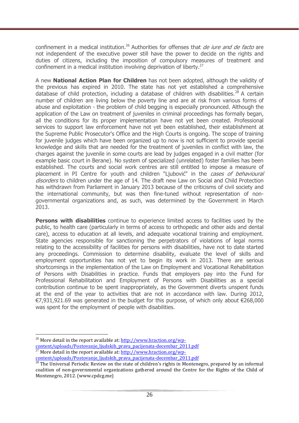confinement in a medical institution.<sup>26</sup> Authorities for offenses that *de jure and de facto* are not independent of the executive power still have the power to decide on the rights and duties of citizens, including the imposition of compulsory measures of treatment and confinement in a medical institution involving deprivation of liberty.<sup>27</sup>

A new **National Action Plan for Children** has not been adopted, although the validity of the previous has expired in 2010. The state has not yet established a comprehensive database of child protection, including a database of children with disabilities.<sup>28</sup> A certain number of children are living below the poverty line and are at risk from various forms of abuse and exploitation - the problem of child begging is especially pronounced. Although the application of the Law on treatment of juveniles in criminal proceedings has formally began, all the conditions for its proper implementation have not yet been created. Professional services to support law enforcement have not yet been established, their establishment at the Supreme Public Prosecutor's Office and the High Courts is ongoing. The scope of training for juvenile judges which have been organized up to now is not sufficient to provide special knowledge and skills that are needed for the treatment of juveniles in conflict with law, the charges against the juvenile in some courts are lead by judges engaged in a civil matter (for example basic court in Berane). No system of specialized (unrelated) foster families has been established. The courts and social work centres are still entitled to impose a measure of placement in PI Centre for youth and children "Ljubović" in the cases of behavioural disorders to children under the age of 14. The draft new Law on Social and Child Protection has withdrawn from Parliament in January 2013 because of the criticisms of civil society and the international community, but was then fine-tuned without representation of nongovernmental organizations and, as such, was determined by the Government in March 2013.

**Persons with disabilities** continue to experience limited access to facilities used by the public, to health care (particularly in terms of access to orthopedic and other aids and dental care), access to education at all levels, and adequate vocational training and employment. State agencies responsible for sanctioning the perpetrators of violations of legal norms relating to the accessibility of facilities for persons with disabilities, have not to date started any proceedings. Commission to determine disability, evaluate the level of skills and employment opportunities has not yet to begin its work in 2013. There are serious shortcomings in the implementation of the Law on Employment and Vocational Rehabilitation of Persons with Disabilities in practice. Funds that employers pay into the Fund for Professional Rehabilitation and Employment of Persons with Disabilities as a special contribution continue to be spent inappropriately, as the Government diverts unspent funds at the end of the year to activities that are not in accordance with law. During 2012, €7,931,921.69 was generated in the budget for this purpose, of which only about €268,000 was spent for the employment of people with disabilities.

 $\overline{a}$ <sup>26</sup> More detail in the report available at:  $\frac{http://www.hraction.org/wp$ content/uploads/Postovanje\_ljudskih\_prava\_pacijenata-decembar\_2011.pdf <sup>27</sup> More detail in the report available at: http://www.hraction.org/wp-

content/uploads/Postovanje\_ljudskih\_prava\_pacijenata-decembar\_2011.pdf

 $^{28}$  The Universal Periodic Review on the state of children's rights in Montenegro, prepared by an informal coalition of non-governmental organizations gathered around the Centre for the Rights of the Child of Montenegro, 2012. (www.cpdcg.me)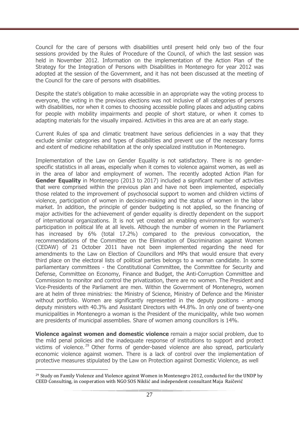Council for the care of persons with disabilities until present held only two of the four sessions provided by the Rules of Procedure of the Council, of which the last session was held in November 2012. Information on the implementation of the Action Plan of the Strategy for the Integration of Persons with Disabilities in Montenegro for year 2012 was adopted at the session of the Government, and it has not been discussed at the meeting of the Council for the care of persons with disabilities.

Despite the state's obligation to make accessible in an appropriate way the voting process to everyone, the voting in the previous elections was not inclusive of all categories of persons with disabilities, nor when it comes to choosing accessible polling places and adjusting cabins for people with mobility impairments and people of short stature, or when it comes to adapting materials for the visually impaired. Activities in this area are at an early stage.

Current Rules of spa and climatic treatment have serious deficiencies in a way that they exclude similar categories and types of disabilities and prevent use of the necessary forms and extent of medicine rehabilitation at the only specialized institution in Montenegro.

Implementation of the Law on Gender Equality is not satisfactory. There is no genderspecific statistics in all areas, especially when it comes to violence against women, as well as in the area of labor and employment of women. The recently adopted Action Plan for **Gender Equality** in Montenegro (2013 to 2017) included a significant number of activities that were comprised within the previous plan and have not been implemented, especially those related to the improvement of psychosocial support to women and children victims of violence, participation of women in decision-making and the status of women in the labor market. In addition, the principle of gender budgeting is not applied, so the financing of major activities for the achievement of gender equality is directly dependent on the support of international organizations. It is not yet created an enabling environment for women's participation in political life at all levels. Although the number of women in the Parliament has increased by 6% (total 17.2%) compared to the previous convocation, the recommendations of the Committee on the Elimination of Discrimination against Women (CEDAW) of 21 October 2011 have not been implemented regarding the need for amendments to the Law on Election of Councillors and MPs that would ensure that every third place on the electoral lists of political parties belongs to a woman candidate. In some parliamentary committees - the Constitutional Committee, the Committee for Security and Defense, Committee on Economy, Finance and Budget, the Anti-Corruption Committee and Commission to monitor and control the privatization, there are no women. The President and Vice-Presidents of the Parliament are men. Within the Government of Montenegro, women are at helm of three ministries: the Ministry of Science, Ministry of Defence and the Minister without portfolio. Women are significantly represented in the deputy positions - among deputy ministers with 40.3% and Assistant Directors with 44.8%. In only one of twenty-one municipalities in Montenegro a woman is the President of the municipality, while two women are presidents of municipal assemblies. Share of women among councillors is 14%.

**Violence against women and domestic violence** remain a major social problem, due to the mild penal policies and the inadequate response of institutions to support and protect victims of violence.<sup>29</sup> Other forms of gender-based violence are also spread, particularly economic violence against women. There is a lack of control over the implementation of protective measures stipulated by the Law on Protection against Domestic Violence, as well

<sup>29</sup> Study on Family Violence and Violence against Women in Montenegro 2012, conducted for the UNDP by CEED Consulting, in cooperation with NGO SOS Nikšić and independent consultant Maja Raičević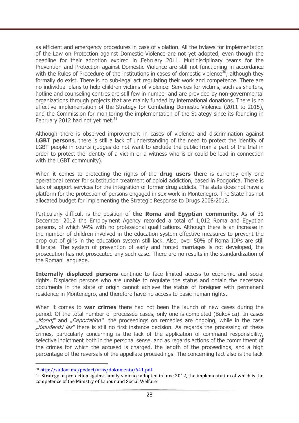as efficient and emergency procedures in case of violation. All the bylaws for implementation of the Law on Protection against Domestic Violence are not yet adopted, even though the deadline for their adoption expired in February 2011. Multidisciplinary teams for the Prevention and Protection against Domestic Violence are still not functioning in accordance with the Rules of Procedure of the institutions in cases of domestic violence<sup>30</sup>, although they formally do exist. There is no sub-legal act regulating their work and competence. There are no individual plans to help children victims of violence. Services for victims, such as shelters, hotline and counseling centres are still few in number and are provided by non-governmental organizations through projects that are mainly funded by international donations. There is no effective implementation of the Strategy for Combating Domestic Violence (2011 to 2015), and the Commission for monitoring the implementation of the Strategy since its founding in February 2012 had not yet met. $31$ 

Although there is observed improvement in cases of violence and discrimination against **LGBT persons**, there is still a lack of understanding of the need to protect the identity of LGBT people in courts (judges do not want to exclude the public from a part of the trial in order to protect the identity of a victim or a witness who is or could be lead in connection with the LGBT community).

When it comes to protecting the rights of the **drug users** there is currently only one operational center for substitution treatment of opioid addiction, based in Podgorica. There is lack of support services for the integration of former drug addicts. The state does not have a platform for the protection of persons engaged in sex work in Montenegro. The State has not allocated budget for implementing the Strategic Response to Drugs 2008-2012.

Particularly difficult is the position of **the Roma and Egyptian community**. As of 31 December 2012 the Employment Agency recorded a total of 1,012 Roma and Egyptian persons, of which 94% with no professional qualifications. Although there is an increase in the number of children involved in the education system effective measures to prevent the drop out of girls in the education system still lack. Also, over 50% of Roma IDPs are still illiterate. The system of prevention of early and forced marriages is not developed, the prosecution has not prosecuted any such case. There are no results in the standardization of the Romani language.

**Internally displaced persons** continue to face limited access to economic and social rights. Displaced persons who are unable to regulate the status and obtain the necessary documents in the state of origin cannot achieve the status of foreigner with permanent residence in Montenegro, and therefore have no access to basic human rights.

When it comes to **war crimes** there had not been the launch of new cases during the period. Of the total number of processed cases, only one is completed (Bukovica). In cases ", Morinj" and ", Deportation" the proceedings on remedies are ongoing, while in the case "Kaluđerski laz" there is still no first instance decision. As regards the processing of these crimes, particularly concerning is the lack of the application of command responsibility, selective indictment both in the personal sense, and as regards actions of the commitment of the crimes for which the accused is charged, the length of the proceedings, and a high percentage of the reversals of the appellate proceedings. The concerning fact also is the lack

<sup>30</sup> http://sudovi.me/podaci/vrhs/dokumenta/641.pdf

<sup>&</sup>lt;sup>31</sup> Strategy of protection against family violence adopted in June 2012, the implementation of which is the competence of the Ministry of Labour and Social Welfare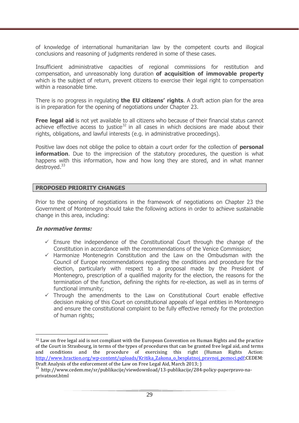of knowledge of international humanitarian law by the competent courts and illogical conclusions and reasoning of judgments rendered in some of these cases.

Insufficient administrative capacities of regional commissions for restitution and compensation, and unreasonably long duration **of acquisition of immovable property** which is the subject of return, prevent citizens to exercise their legal right to compensation within a reasonable time.

There is no progress in regulating **the EU citizens' rights**. A draft action plan for the area is in preparation for the opening of negotiations under Chapter 23.

**Free legal aid** is not yet available to all citizens who because of their financial status cannot achieve effective access to justice<sup>32</sup> in all cases in which decisions are made about their rights, obligations, and lawful interests (e.g. in administrative proceedings).

Positive law does not oblige the police to obtain a court order for the collection of **personal information**. Due to the imprecision of the statutory procedures, the question is what happens with this information, how and how long they are stored, and in what manner destroyed.<sup>33</sup>

#### **PROPOSED PRIORITY CHANGES**

Prior to the opening of negotiations in the framework of negotiations on Chapter 23 the Government of Montenegro should take the following actions in order to achieve sustainable change in this area, including:

#### **In normative terms:**

- $\checkmark$  Ensure the independence of the Constitutional Court through the change of the Constitution in accordance with the recommendations of the Venice Commission;
- $\checkmark$  Harmonize Montenegrin Constitution and the Law on the Ombudsman with the Council of Europe recommendations regarding the conditions and procedure for the election, particularly with respect to a proposal made by the President of Montenegro, prescription of a qualified majority for the election, the reasons for the termination of the function, defining the rights for re-election, as well as in terms of functional immunity;
- $\checkmark$  Through the amendments to the Law on Constitutional Court enable effective decision making of this Court on constitutional appeals of legal entities in Montenegro and ensure the constitutional complaint to be fully effective remedy for the protection of human rights;

<sup>&</sup>lt;sup>32</sup> Law on free legal aid is not compliant with the European Convention on Human Rights and the practice of the Court in Strasbourg, in terms of the types of procedures that can be granted free legal aid, and terms and conditions and the procedure of exercising this right (Human Rights Action: http://www.hraction.org/wp-content/uploads/Kritika\_Zakona\_o\_besplatnoj\_pravnoj\_pomoci.pdf;CEDEM: Draft Analysis of the enforcement of the Law on Free Legal Aid, March 2013; )

<sup>33</sup> http://www.cedem.me/sr/publikacije/viewdownload/13-publikacije/284-policy-paperpravo-naprivatnost.html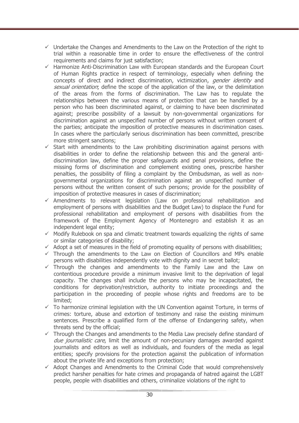- $\checkmark$  Undertake the Changes and Amendments to the Law on the Protection of the right to trial within a reasonable time in order to ensure the effectiveness of the control requirements and claims for just satisfaction;
- $\checkmark$  Harmonize Anti-Discrimination Law with European standards and the European Court of Human Rights practice in respect of terminology, especially when defining the concepts of direct and indirect discrimination, victimization, *gender identity* and sexual orientation; define the scope of the application of the law, or the delimitation of the areas from the forms of discrimination. The Law has to regulate the relationships between the various means of protection that can be handled by a person who has been discriminated against, or claiming to have been discriminated against; prescribe possibility of a lawsuit by non-governmental organizations for discrimination against an unspecified number of persons without written consent of the parties; anticipate the imposition of protective measures in discrimination cases. In cases where the particularly serious discrimination has been committed, prescribe more stringent sanctions;
- $\checkmark$  Start with amendments to the Law prohibiting discrimination against persons with disabilities in order to define the relationship between this and the general antidiscrimination law, define the proper safeguards and penal provisions, define the missing forms of discrimination and complement existing ones, prescribe harsher penalties, the possibility of filing a complaint by the Ombudsman, as well as nongovernmental organizations for discrimination against an unspecified number of persons without the written consent of such persons; provide for the possibility of imposition of protective measures in cases of discrimination;
- $\checkmark$  Amendments to relevant legislation (Law on professional rehabilitation and employment of persons with disabilities and the Budget Law) to displace the Fund for professional rehabilitation and employment of persons with disabilities from the framework of the Employment Agency of Montenegro and establish it as an independent legal entity;
- $\checkmark$  Modify Rulebook on spa and climatic treatment towards equalizing the rights of same or similar categories of disability;
- $\checkmark$  Adopt a set of measures in the field of promoting equality of persons with disabilities;
- $\checkmark$  Through the amendments to the Law on Election of Councillors and MPs enable persons with disabilities independently vote with dignity and in secret ballot;
- $\checkmark$  Through the changes and amendments to the Family Law and the Law on contentious procedure provide a minimum invasive limit to the deprivation of legal capacity. The changes shall include the persons who may be incapacitated, the conditions for deprivation/restriction, authority to initiate proceedings and the participation in the proceeding of people whose rights and freedoms are to be limited;
- $\checkmark$  To harmonize criminal legislation with the UN Convention against Torture, in terms of crimes: torture, abuse and extortion of testimony and raise the existing minimum sentences. Prescribe a qualified form of the offense of Endangering safety, when threats send by the official;
- $\checkmark$  Through the Changes and amendments to the Media Law precisely define standard of due journalistic care, limit the amount of non-pecuniary damages awarded against journalists and editors as well as individuals, and founders of the media as legal entities; specify provisions for the protection against the publication of information about the private life and exceptions from protection;
- $\checkmark$  Adopt Changes and Amendments to the Criminal Code that would comprehensively predict harsher penalties for hate crimes and propaganda of hatred against the LGBT people, people with disabilities and others, criminalize violations of the right to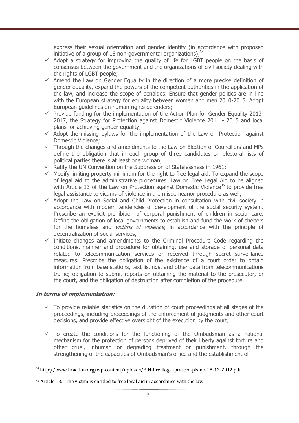express their sexual orientation and gender identity (in accordance with proposed initiative of a group of 18 non-governmental organizations): $34$ 

- $\checkmark$  Adopt a strategy for improving the quality of life for LGBT people on the basis of consensus between the government and the organizations of civil society dealing with the rights of LGBT people;
- $\checkmark$  Amend the Law on Gender Equality in the direction of a more precise definition of gender equality, expand the powers of the competent authorities in the application of the law, and increase the scope of penalties. Ensure that gender politics are in line with the European strategy for equality between women and men 2010-2015. Adopt European guidelines on human rights defenders;
- $\checkmark$  Provide funding for the implementation of the Action Plan for Gender Equality 2013-2017, the Strategy for Protection against Domestic Violence 2011 - 2015 and local plans for achieving gender equality;
- $\checkmark$  Adopt the missing bylaws for the implementation of the Law on Protection against Domestic Violence;
- $\checkmark$  Through the changes and amendments to the Law on Election of Councillors and MPs define the obligation that in each group of three candidates on electoral lists of political parties there is at least one woman;
- $\checkmark$  Ratify the UN Convention on the Suppression of Statelessness in 1961;
- $\checkmark$  Modify limiting property minimum for the right to free legal aid. To expand the scope of legal aid to the administrative procedures. Law on Free Legal Aid to be aligned with Article 13 of the Law on Protection against Domestic Violence<sup>35</sup> to provide free legal assistance to victims of violence in the misdemeanor procedure as well;
- $\checkmark$  Adopt the Law on Social and Child Protection in consultation with civil society in accordance with modern tendencies of development of the social security system. Prescribe an explicit prohibition of corporal punishment of children in social care. Define the obligation of local governments to establish and fund the work of shelters for the homeless and *victims of violence*, in accordance with the principle of decentralization of social services;
- $\checkmark$  Initiate changes and amendments to the Criminal Procedure Code regarding the conditions, manner and procedure for obtaining, use and storage of personal data related to telecommunication services or received through secret surveillance measures. Prescribe the obligation of the existence of a court order to obtain information from base stations, text listings, and other data from telecommunications traffic; obligation to submit reports on obtaining the material to the prosecutor, or the court, and the obligation of destruction after completion of the procedure.

#### **In terms of implementation:**

- $\checkmark$  To provide reliable statistics on the duration of court proceedings at all stages of the proceedings, including proceedings of the enforcement of judgments and other court decisions, and provide effective oversight of the execution by the court;
- $\checkmark$  To create the conditions for the functioning of the Ombudsman as a national mechanism for the protection of persons deprived of their liberty against torture and other cruel, inhuman or degrading treatment or punishment, through the strengthening of the capacities of Ombudsman's office and the establishment of

<sup>&</sup>lt;sup>34</sup> http://www.hraction.org/wp-content/uploads/FIN-Predlog-i-pratece-pismo-18-12-2012.pdf

<sup>35</sup> Article 13: "The victim is entitled to free legal aid in accordance with the law"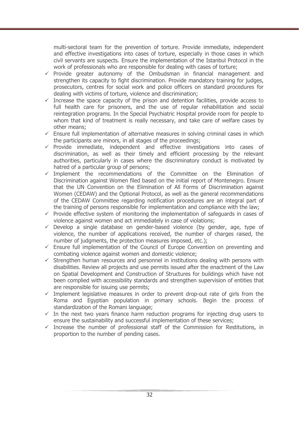multi-sectoral team for the prevention of torture. Provide immediate, independent and effective investigations into cases of torture, especially in those cases in which civil servants are suspects. Ensure the implementation of the Istanbul Protocol in the work of professionals who are responsible for dealing with cases of torture;

- $\checkmark$  Provide greater autonomy of the Ombudsman in financial management and strengthen its capacity to fight discrimination. Provide mandatory training for judges, prosecutors, centres for social work and police officers on standard procedures for dealing with victims of torture, violence and discrimination;
- $\checkmark$  Increase the space capacity of the prison and detention facilities, provide access to full health care for prisoners, and the use of regular rehabilitation and social reintegration programs. In the Special Psychiatric Hospital provide room for people to whom that kind of treatment is really necessary, and take care of welfare cases by other means;
- $\checkmark$  Ensure full implementation of alternative measures in solving criminal cases in which the participants are minors, in all stages of the proceedings;
- $\checkmark$  Provide immediate, independent and effective investigations into cases of discrimination, as well as their timely and efficient processing by the relevant authorities, particularly in cases where the discriminatory conduct is motivated by hatred of a particular group of persons;
- $\checkmark$  Implement the recommendations of the Committee on the Elimination of Discrimination against Women filed based on the initial report of Montenegro. Ensure that the UN Convention on the Elimination of All Forms of Discrimination against Women (CEDAW) and the Optional Protocol, as well as the general recommendations of the CEDAW Committee regarding notification procedures are an integral part of the training of persons responsible for implementation and compliance with the law;
- $\checkmark$  Provide effective system of monitoring the implementation of safeguards in cases of violence against women and act immediately in case of violations;
- $\checkmark$  Develop a single database on gender-based violence (by gender, age, type of violence, the number of applications received, the number of charges raised, the number of judgments, the protection measures imposed, etc.);
- $\checkmark$  Ensure full implementation of the Council of Europe Convention on preventing and combating violence against women and domestic violence;
- $\checkmark$  Strengthen human resources and personnel in institutions dealing with persons with disabilities. Review all projects and use permits issued after the enactment of the Law on Spatial Development and Construction of Structures for buildings which have not been complied with accessibility standards and strengthen supervision of entities that are responsible for issuing use permits;
- $\checkmark$  Implement legislative measures in order to prevent drop-out rate of girls from the Roma and Egyptian population in primary schools. Begin the process of standardization of the Romani language;
- $\checkmark$  In the next two years finance harm reduction programs for injecting drug users to ensure the sustainability and successful implementation of these services;
- $\checkmark$  Increase the number of professional staff of the Commission for Restitutions, in proportion to the number of pending cases.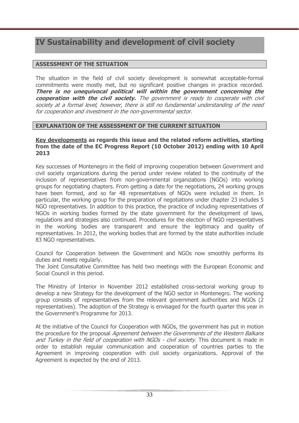# **IV Sustainability and development of civil society**

## **ASSESSMENT OF THE SITUATION**

The situation in the field of civil society development is somewhat acceptable-formal commitments were mostly met, but no significant positive changes in practice recorded. **There is no unequivocal political will within the government concerning the cooperation with the civil society.** The government is ready to cooperate with civil society at a formal level, however, there is still no fundamental understanding of the need for cooperation and investment in the non-governmental sector.

## **EXPLANATION OF THE ASSESSMENT OF THE CURRENT SITUATION**

#### **Key developments as regards this issue and the related reform activities, starting from the date of the EC Progress Report (10 October 2012) ending with 10 April 2013**

Key successes of Montenegro in the field of improving cooperation between Government and civil society organizations during the period under review related to the continuity of the inclusion of representatives from non-governmental organizations (NGOs) into working groups for negotiating chapters. From getting a date for the negotiations, 24 working groups have been formed, and so far 48 representatives of NGOs were included in them. In particular, the working group for the preparation of negotiations under chapter 23 includes 5 NGO representatives. In addition to this practice, the practice of including representatives of NGOs in working bodies formed by the state government for the development of laws, regulations and strategies also continued. Procedures for the election of NGO representatives in the working bodies are transparent and ensure the legitimacy and quality of representatives. In 2012, the working bodies that are formed by the state authorities include 83 NGO representatives.

Council for Cooperation between the Government and NGOs now smoothly performs its duties and meets regularly.

The Joint Consultative Committee has held two meetings with the European Economic and Social Council in this period.

The Ministry of Interior in November 2012 established cross-sectoral working group to develop a new Strategy for the development of the NGO sector in Montenegro. The working group consists of representatives from the relevant government authorities and NGOs (2 representatives). The adoption of the Strategy is envisaged for the fourth quarter this year in the Government's Programme for 2013.

At the initiative of the Council for Cooperation with NGOs, the government has put in motion the procedure for the proposal Agreement between the Governments of the Western Balkans and Turkey in the field of cooperation with NGOs - civil society. This document is made in order to establish regular communication and cooperation of countries parties to the Agreement in improving cooperation with civil society organizations. Approval of the Agreement is expected by the end of 2013.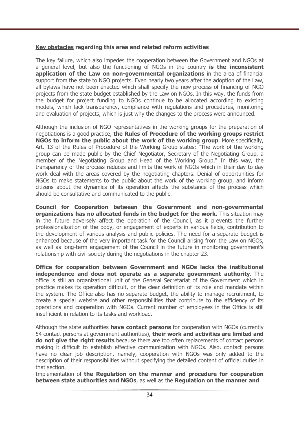### **Key obstacles regarding this area and related reform activities**

The key failure, which also impedes the cooperation between the Government and NGOs at a general level, but also the functioning of NGOs in the country **is the inconsistent application of the Law on non-governmental organizations** in the area of financial support from the state to NGO projects. Even nearly two years after the adoption of the Law, all bylaws have not been enacted which shall specify the new process of financing of NGO projects from the state budget established by the Law on NGOs. In this way, the funds from the budget for project funding to NGOs continue to be allocated according to existing models, which lack transparency, compliance with regulations and procedures, monitoring and evaluation of projects, which is just why the changes to the process were announced.

Although the inclusion of NGO representatives in the working groups for the preparation of negotiations is a good practice, **the Rules of Procedure of the working groups restrict NGOs to inform the public about the work of the working group**. More specifically, Art. 13 of the Rules of Procedure of the Working Group states: "The work of the working group can be made public by the Chief Negotiator, Secretary of the Negotiating Group, a member of the Negotiating Group and Head of the Working Group." In this way, the transparency of the process reduces and limits the work of NGOs which in their day to day work deal with the areas covered by the negotiating chapters. Denial of opportunities for NGOs to make statements to the public about the work of the working group, and inform citizens about the dynamics of its operation affects the substance of the process which should be consultative and communicated to the public.

**Council for Cooperation between the Government and non-governmental organizations has no allocated funds in the budget for the work.** This situation may in the future adversely affect the operation of the Council, as it prevents the further professionalization of the body, or engagement of experts in various fields, contribution to the development of various analysis and public policies. The need for a separate budget is enhanced because of the very important task for the Council arising from the Law on NGOs, as well as long-term engagement of the Council in the future in monitoring government's relationship with civil society during the negotiations in the chapter 23.

**Office for cooperation between Government and NGOs lacks the institutional independence and does not operate as a separate government authority**. The office is still an organizational unit of the General Secretariat of the Government which in practice makes its operation difficult, or the clear definition of its role and mandate within the system. The Office also has no separate budget, the ability to manage recruitment, to create a special website and other responsibilities that contribute to the efficiency of its operations and cooperation with NGOs. Current number of employees in the Office is still insufficient in relation to its tasks and workload.

Although the state authorities **have contact persons** for cooperation with NGOs (currently 54 contact persons at government authorities), **their work and activities are limited and do not give the right results** because there are too often replacements of contact persons making it difficult to establish effective communication with NGOs. Also, contact persons have no clear job description, namely, cooperation with NGOs was only added to the description of their responsibilities without specifying the detailed content of official duties in that section.

Implementation of **the Regulation on the manner and procedure for cooperation between state authorities and NGOs**, as well as the **Regulation on the manner and**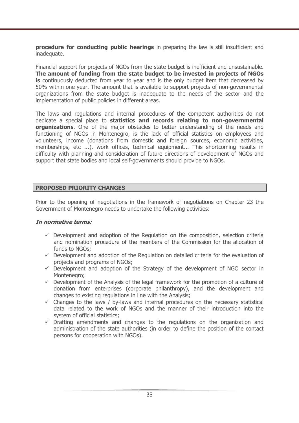**procedure for conducting public hearings** in preparing the law is still insufficient and inadequate.

Financial support for projects of NGOs from the state budget is inefficient and unsustainable. **The amount of funding from the state budget to be invested in projects of NGOs is** continuously deducted from year to year and is the only budget item that decreased by 50% within one year. The amount that is available to support projects of non-governmental organizations from the state budget is inadequate to the needs of the sector and the implementation of public policies in different areas.

The laws and regulations and internal procedures of the competent authorities do not dedicate a special place to **statistics and records relating to non-governmental organizations**. One of the major obstacles to better understanding of the needs and functioning of NGOs in Montenegro, is the lack of official statistics on employees and volunteers, income (donations from domestic and foreign sources, economic activities, memberships, etc ...), work offices, technical equipment... This shortcoming results in difficulty with planning and consideration of future directions of development of NGOs and support that state bodies and local self-governments should provide to NGOs.

### **PROPOSED PRIORITY CHANGES**

Prior to the opening of negotiations in the framework of negotiations on Chapter 23 the Government of Montenegro needs to undertake the following activities:

#### **In normative terms:**

- $\checkmark$  Development and adoption of the Regulation on the composition, selection criteria and nomination procedure of the members of the Commission for the allocation of funds to NGOs;
- $\checkmark$  Development and adoption of the Regulation on detailed criteria for the evaluation of projects and programs of NGOs;
- $\checkmark$  Development and adoption of the Strategy of the development of NGO sector in Montenegro;
- $\checkmark$  Development of the Analysis of the legal framework for the promotion of a culture of donation from enterprises (corporate philanthropy), and the development and changes to existing regulations in line with the Analysis;
- $\checkmark$  Changes to the laws / by-laws and internal procedures on the necessary statistical data related to the work of NGOs and the manner of their introduction into the system of official statistics;
- $\checkmark$  Drafting amendments and changes to the regulations on the organization and administration of the state authorities (in order to define the position of the contact persons for cooperation with NGOs).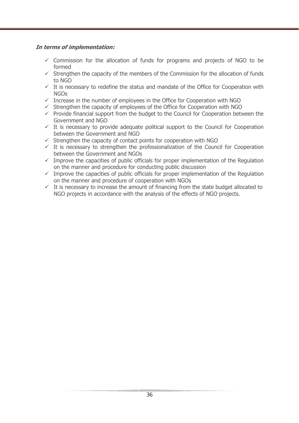## **In terms of implementation:**

- $\checkmark$  Commission for the allocation of funds for programs and projects of NGO to be formed
- $\checkmark$  Strengthen the capacity of the members of the Commission for the allocation of funds to NGO
- $\checkmark$  It is necessary to redefine the status and mandate of the Office for Cooperation with NGOs
- $\checkmark$  Increase in the number of employees in the Office for Cooperation with NGO
- $\checkmark$  Strengthen the capacity of employees of the Office for Cooperation with NGO
- $\checkmark$  Provide financial support from the budget to the Council for Cooperation between the Government and NGO
- $\checkmark$  It is necessary to provide adequate political support to the Council for Cooperation between the Government and NGO
- $\checkmark$  Strengthen the capacity of contact points for cooperation with NGO
- $\checkmark$  It is necessary to strengthen the professionalization of the Council for Cooperation between the Government and NGOs
- $\checkmark$  Improve the capacities of public officials for proper implementation of the Regulation on the manner and procedure for conducting public discussion
- $\checkmark$  Improve the capacities of public officials for proper implementation of the Regulation on the manner and procedure of cooperation with NGOs
- $\checkmark$  It is necessary to increase the amount of financing from the state budget allocated to NGO projects in accordance with the analysis of the effects of NGO projects.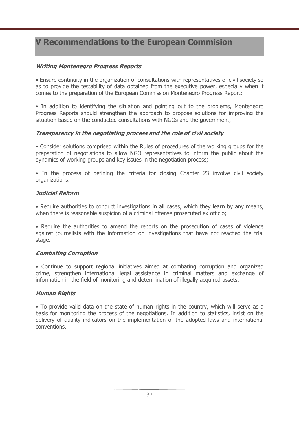# **V Recommendations to the European Commision**

## **Writing Montenegro Progress Reports**

• Ensure continuity in the organization of consultations with representatives of civil society so as to provide the testability of data obtained from the executive power, especially when it comes to the preparation of the European Commission Montenegro Progress Report;

• In addition to identifying the situation and pointing out to the problems, Montenegro Progress Reports should strengthen the approach to propose solutions for improving the situation based on the conducted consultations with NGOs and the government;

## **Transparency in the negotiating process and the role of civil society**

• Consider solutions comprised within the Rules of procedures of the working groups for the preparation of negotiations to allow NGO representatives to inform the public about the dynamics of working groups and key issues in the negotiation process;

• In the process of defining the criteria for closing Chapter 23 involve civil society organizations.

## **Judicial Reform**

• Require authorities to conduct investigations in all cases, which they learn by any means, when there is reasonable suspicion of a criminal offense prosecuted ex officio;

• Require the authorities to amend the reports on the prosecution of cases of violence against journalists with the information on investigations that have not reached the trial stage.

## **Combating Corruption**

• Continue to support regional initiatives aimed at combating corruption and organized crime, strengthen international legal assistance in criminal matters and exchange of information in the field of monitoring and determination of illegally acquired assets.

## **Human Rights**

• To provide valid data on the state of human rights in the country, which will serve as a basis for monitoring the process of the negotiations. In addition to statistics, insist on the delivery of quality indicators on the implementation of the adopted laws and international conventions.